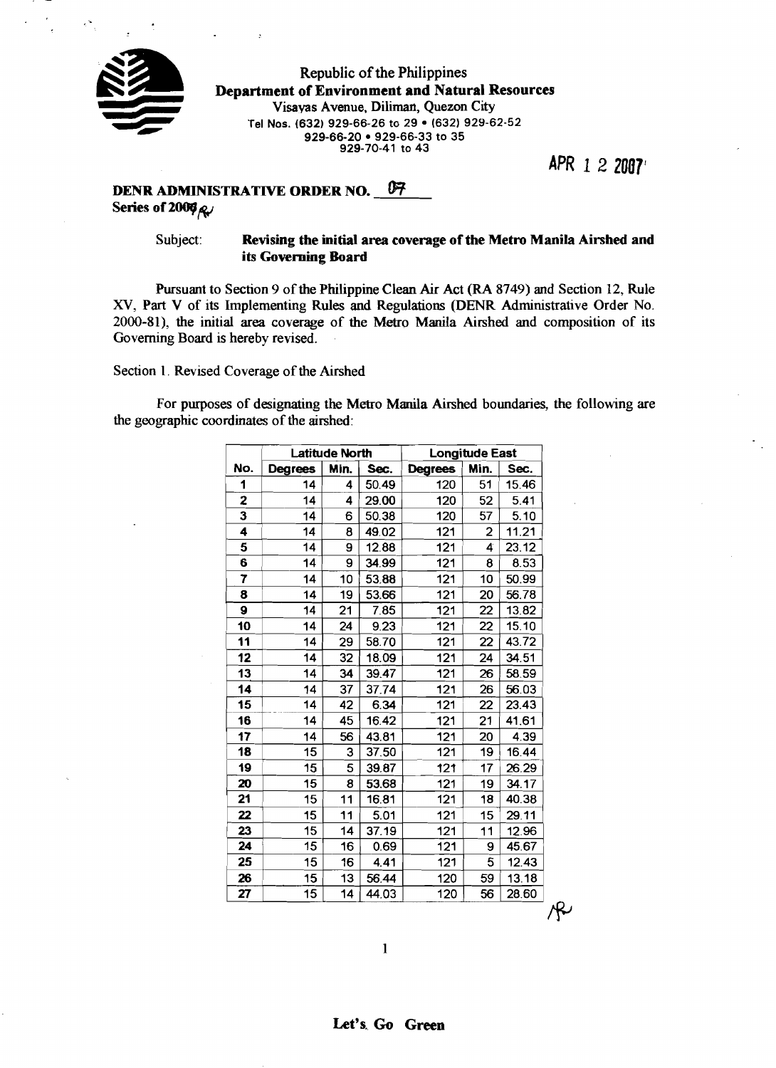

Republic of the Philippines **Department of Environment and Natural Resources**  Visayas Avenue, Diliman, Quezon City Tel Nos. (632) 929-66-26 to 29 · (632) 929-62-52 **929-66-20 929-66-33 to 35 929-70-41 to 43** 

**APR** 1**2 2087'** 

# **DENR ADMINISTRATIVE ORDER NO.** <sup>07</sup> **Series of 2006** $\alpha$

## Subject: **Revising the initial area coverage of the Metro Manila Airshed and its Governing Board**

Pursuant to Section 9 of the Philippine Clean **Air** Act **(RA** 8749) and Section 12, Rule XV, Part V of its Implementing Rules and Regulations (DENR Administrative Order No. 2000-81), the initial area coverage of the Metro Manila Airshed and composition of its Governing Board is hereby revised.

Section 1. Revised Coverage of the Airshed

For purposes of designating the Metro Manila Airshed boundaries, the following are the geographic coordinates of the airshed:

|     | <b>Latitude North</b> |      |       |                | <b>Longitude East</b> |       |
|-----|-----------------------|------|-------|----------------|-----------------------|-------|
| No. | <b>Degrees</b>        | Min. | Sec.  | <b>Degrees</b> | Min.                  | Sec.  |
| 1   | 14                    | 4    | 50.49 | 120            | 51                    | 15.46 |
| 2   | 14                    | 4    | 29.00 | 120            | 52                    | 5.41  |
| 3   | 14                    | 6    | 50.38 | 120            | 57                    | 5.10  |
| 4   | 14                    | 8    | 49.02 | 121            | 2                     | 11.21 |
| 5   | 14                    | 9    | 12.88 | 121            | 4                     | 23.12 |
| 6   | 14                    | 9    | 34.99 | 121            | 8                     | 8.53  |
| 7   | 14                    | 10   | 53.88 | 121            | 10                    | 50.99 |
| 8   | 14                    | 19   | 53.66 | 121            | 20                    | 56.78 |
| 9   | 14                    | 21   | 7.85  | 121            | 22                    | 13.82 |
| 10  | 14                    | 24   | 9.23  | 121            | 22                    | 15.10 |
| 11  | 14                    | 29   | 58.70 | 121            | 22                    | 43.72 |
| 12  | 14                    | 32   | 18.09 | 121            | 24                    | 34.51 |
| 13  | 14                    | 34   | 39.47 | 121            | 26                    | 58.59 |
| 14  | 14                    | 37   | 37.74 | 121            | 26                    | 56.03 |
| 15  | 14                    | 42   | 6.34  | 121            | 22                    | 23.43 |
| 16  | 14                    | 45   | 16.42 | 121            | 21                    | 41.61 |
| 17  | 14                    | 56   | 43.81 | 121            | 20                    | 4.39  |
| 18  | 15                    | 3    | 37.50 | 121            | 19                    | 16.44 |
| 19  | 15                    | 5    | 39.87 | 121            | 17                    | 26.29 |
| 20  | 15                    | 8    | 53.68 | 121            | 19                    | 34.17 |
| 21  | 15                    | 11   | 16.81 | 121            | 18                    | 40.38 |
| 22  | 15                    | 11   | 5.01  | 121            | 15                    | 29.11 |
| 23  | 15                    | 14   | 37.19 | 121            | 11                    | 12.96 |
| 24  | 15                    | 16   | 0.69  | 121            | 9                     | 45.67 |
| 25  | 15                    | 16   | 4.41  | 121            | 5                     | 12.43 |
| 26  | 15                    | 13   | 56.44 | 120            | 59                    | 13.18 |
| 27  | 15                    | 14   | 44.03 | 120            | 56                    | 28.60 |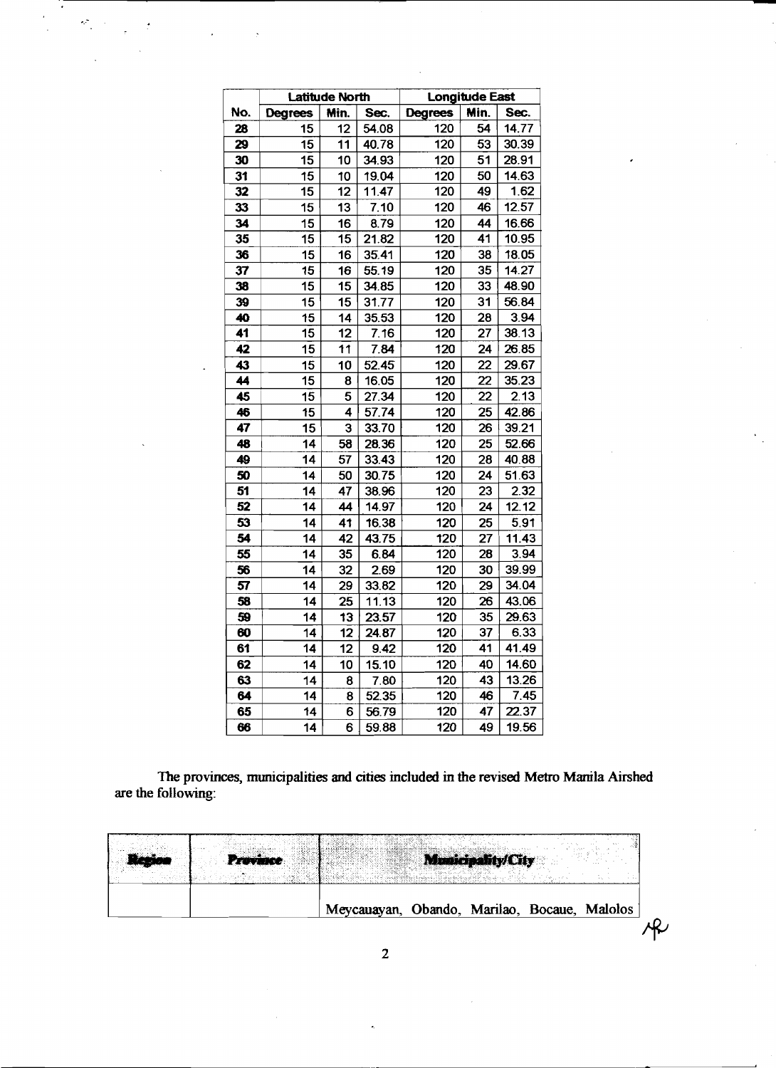|     |                 | <b>Latitude North</b>   |       | <b>Longitude East</b> |      |       |  |
|-----|-----------------|-------------------------|-------|-----------------------|------|-------|--|
| No. | <b>Degrees</b>  | Min.                    | Sec.  | <b>Degrees</b>        | Min. | Sec.  |  |
| 28  | 15              | 12                      | 54.08 | 120                   | 54   | 14.77 |  |
| 29  | 15              | 11                      | 40.78 | 120                   | 53   | 30.39 |  |
| 30  | 15              | 10                      | 34.93 | 120                   | 51   | 28.91 |  |
| 31  | 15              | 10                      | 19.04 | 120                   | 50   | 14.63 |  |
| 32  | 15              | 12                      | 11.47 | 120                   | 49   | 1.62  |  |
| 33  | 15              | 13                      | 7.10  | 120                   | 46   | 12.57 |  |
| 34  | 15              | 16                      | 8.79  | 120                   | 44   | 16.66 |  |
| 35  | 15              | 15                      | 21.82 | 120                   | 41   | 10.95 |  |
| 36  | 15              | 16                      | 35.41 | 120                   | 38   | 18.05 |  |
| 37  | 15              | 16                      | 55.19 | 120                   | 35   | 14.27 |  |
| 38  | 15              | 15                      | 34.85 | 120                   | 33   | 48.90 |  |
| 39  | 15              | 15                      | 31.77 | 120                   | 31   | 56.84 |  |
| 40  | 15              | 14                      | 35.53 | 120                   | 28   | 3.94  |  |
| 41  | 15              | 12                      | 7.16  | 120                   | 27   | 38.13 |  |
| 42  | 15              | 11                      | 7.84  | 120                   | 24   | 26.85 |  |
| 43  | 15              | 10                      | 52.45 | 120                   | 22   | 29.67 |  |
| 44  | 15              | 8                       | 16.05 | 120                   | 22   | 35.23 |  |
| 45  | 15              | 5                       | 27.34 | 120                   | 22   | 2.13  |  |
| 46  | 15              | $\overline{\mathbf{4}}$ | 57.74 | 120                   | 25   | 42.86 |  |
| 47  | 15              | $\overline{\mathbf{3}}$ | 33.70 | 120                   | 26   | 39.21 |  |
| 48  | 14              | 58                      | 28.36 | 120                   | 25   | 52.66 |  |
| 49  | 14              | 57                      | 33.43 | 120                   | 28   | 40,88 |  |
| 50  | 14              | 50                      | 30.75 | 120                   | 24   | 51.63 |  |
| 51  | 14              | 47                      | 38.96 | 120                   | 23   | 2.32  |  |
| 52  | 14              | 44                      | 14.97 | 120                   | 24   | 12.12 |  |
| 53  | 14              | 41                      | 16.38 | 120                   | 25   | 5.91  |  |
| 54  | 14              | 42                      | 43.75 | 120                   | 27   | 11.43 |  |
| 55  | 14              | 35                      | 6.84  | 120                   | 28   | 3.94  |  |
| 56  | $\overline{14}$ | 32                      | 2.69  | 120                   | 30   | 39.99 |  |
| 57  | 14              | 29                      | 33.82 | 120                   | 29   | 34.04 |  |
| 58  | 14              | 25                      | 11.13 | 120                   | 26   | 43.06 |  |
| 59  | 14              | 13                      | 23.57 | 120                   | 35   | 29.63 |  |
| 60  | 14              | 12                      | 24.87 | 120                   | 37   | 6.33  |  |
| 61  | 14              | 12                      | 9.42  | 120                   | 41   | 41.49 |  |
| 62  | 14              | 10                      | 15.10 | 120                   | 40   | 14.60 |  |
| 63  | 14              | 8                       | 7.80  | 120                   | 43   | 13.26 |  |
| 64  | 14              | 8                       | 52.35 | 120                   | 46   | 7.45  |  |
| 65  | 14              | 6                       | 56.79 | 120                   | 47   | 22.37 |  |
| 66  | 14              | 6                       | 59.88 | 120                   | 49   | 19.56 |  |

 $\mathcal{L}^{\text{max}}_{\text{max}}$ 

l.

 $\ddot{\phantom{a}}$ 

**The provinces, municipalities and cities included in the revised Metro Manila Airshed are the following:** 

|  |                                              | <b>Municipality</b> |  |  |
|--|----------------------------------------------|---------------------|--|--|
|  | Meycauayan, Obando, Marilao, Bocaue, Malolos |                     |  |  |
|  |                                              |                     |  |  |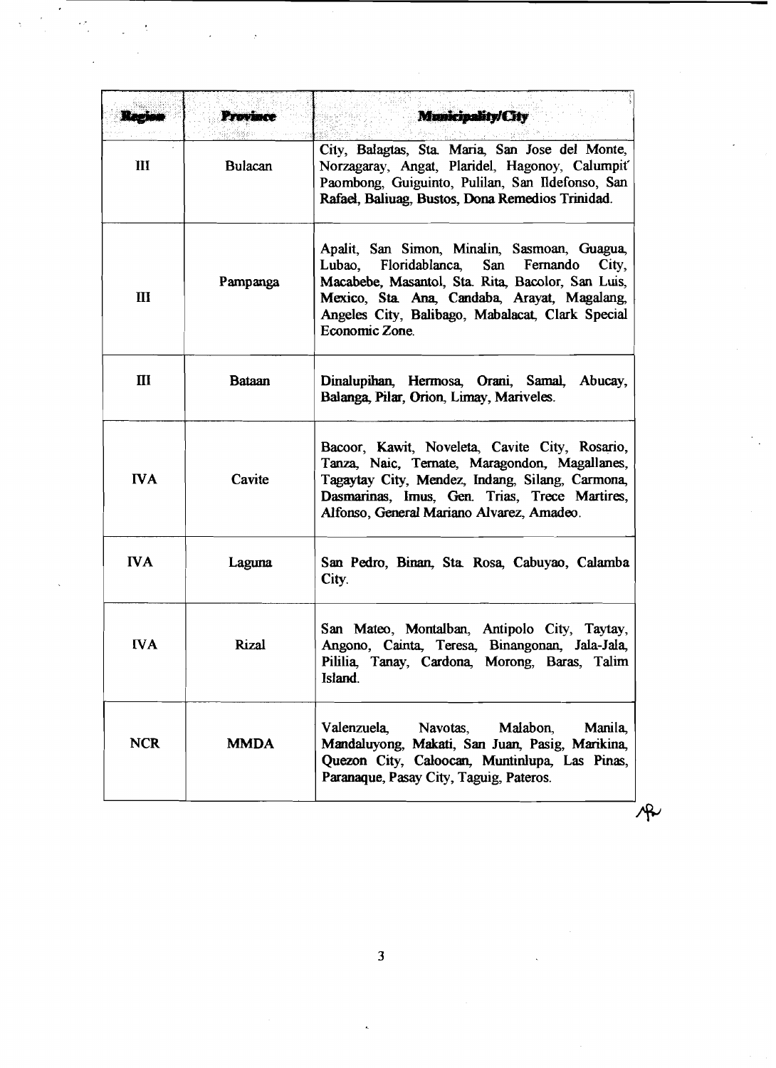|                               | Province       | Municipality/City                                                                                                                                                                                                                                                         |  |  |  |  |
|-------------------------------|----------------|---------------------------------------------------------------------------------------------------------------------------------------------------------------------------------------------------------------------------------------------------------------------------|--|--|--|--|
| III                           | <b>Bulacan</b> | City, Balagtas, Sta. Maria, San Jose del Monte,<br>Norzagaray, Angat, Plaridel, Hagonoy, Calumpit<br>Paombong, Guiguinto, Pulilan, San Ildefonso, San<br>Rafael, Baliuag, Bustos, Dona Remedios Trinidad.                                                                 |  |  |  |  |
| $\mathbf{m}$                  | Pampanga       | Apalit, San Simon, Minalin, Sasmoan, Guagua,<br>Floridablanca, San Fernando<br>Lubao,<br>City,<br>Macabebe, Masantol, Sta. Rita, Bacolor, San Luis,<br>Mexico, Sta. Ana, Candaba, Arayat, Magalang,<br>Angeles City, Balibago, Mabalacat, Clark Special<br>Economic Zone. |  |  |  |  |
| $\mathbf{I}$<br><b>Bataan</b> |                | Dinalupihan, Hermosa, Orani, Samal, Abucay,<br>Balanga, Pilar, Orion, Limay, Mariveles.                                                                                                                                                                                   |  |  |  |  |
| <b>IVA</b>                    | Cavite         | Bacoor, Kawit, Noveleta, Cavite City, Rosario,<br>Tanza, Naic, Ternate, Maragondon, Magallanes,<br>Tagaytay City, Mendez, Indang, Silang, Carmona,<br>Dasmarinas, Imus, Gen. Trias, Trece Martires,<br>Alfonso, General Mariano Alvarez, Amadeo.                          |  |  |  |  |
| <b>IVA</b>                    | Laguna         | San Pedro, Binan, Sta. Rosa, Cabuyao, Calamba<br>City.                                                                                                                                                                                                                    |  |  |  |  |
| <b>IVA</b>                    | Rizal          | San Mateo, Montalban, Antipolo City, Taytay,<br>Angono, Cainta, Teresa, Binangonan, Jala-Jala,<br>Pililia, Tanay, Cardona, Morong, Baras, Talim<br>Island.                                                                                                                |  |  |  |  |
| <b>NCR</b>                    | <b>MMDA</b>    | Valenzuela,<br>Navotas,<br>Malabon.<br>Manila,<br>Mandaluyong, Makati, San Juan, Pasig, Marikina,<br>Quezon City, Caloocan, Muntinlupa, Las Pinas,<br>Paranaque, Pasay City, Taguig, Pateros.                                                                             |  |  |  |  |

 $\frac{1}{\sqrt{2}}$  $\frac{1}{3}$ 

 $\frac{1}{\sqrt{2}}$ 

 $\bar{\beta}$  $\overline{a}$ 

 $\overline{a}$ 

 $\overline{\mathbf{3}}$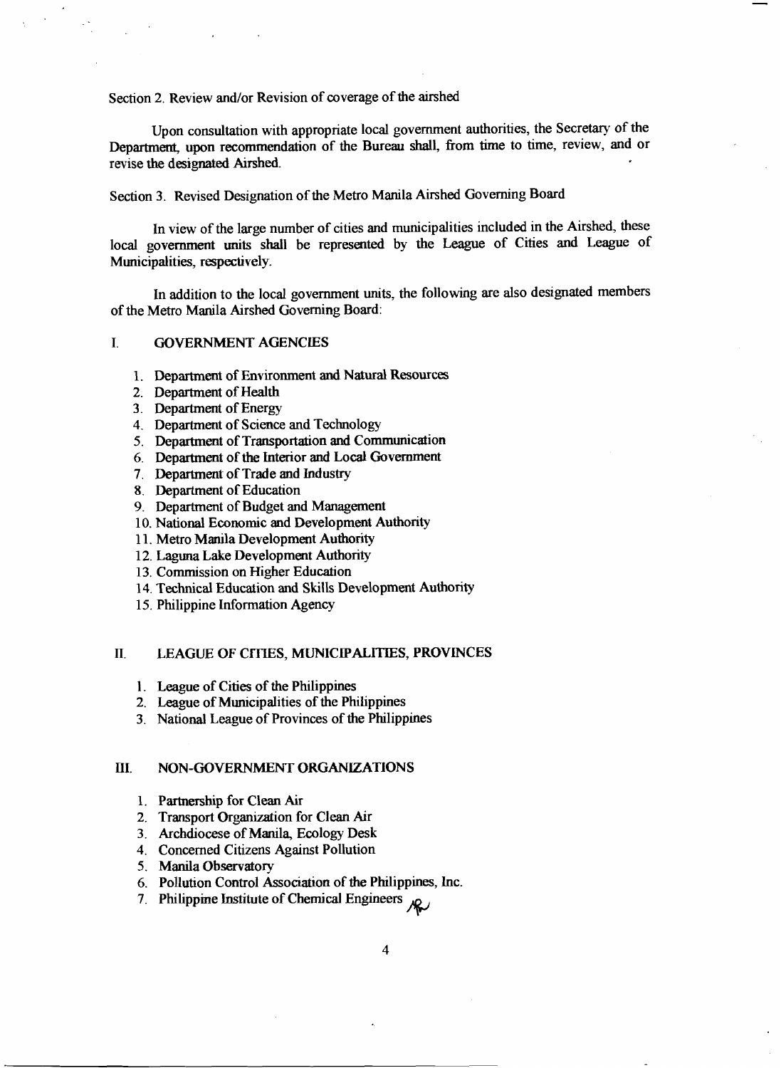Section 2. Review and/or Revision of coverage of the airshed

Upon consultation with appropriate local government authorities, the Secretary of the Department, upon recommendation of the Bureau shall, from time to time, review, and or revise the designated **Airshed.** 

## Section **3.** Revised Designation of the Metro Manila Airshed Governing Board

In view of the large number of cities and municipalities included in the Airshed, these local government units shall be represented by the League of Cities and League of Municipalities, respectively.

In addition to the local government units, the following are also designated members of the Metro Manila Airshed Governing Board:

### I. GOVERNMENT AGENCIES

- **1.** Department of Environment **and** Natural Resources
- 2. Department of Health
- **3.** Department of Energy
- **4.** Department of Science and Technology
- **5.** Department of Transportation and Communication
- 6. Department of the Interior and Local Government
- 7. Department of Trade and Industry
- 8. Department of Education
- 9. Department of Budget and Management
- 10. National Economic and Development Authority
- **1 1.** Metro Manila Development Authority
- 12. Laguna Lake Development Authority
- **13.** Commission on Higher Education
- **14.** Technical Education and Skills Development Authority
- **15.** Philippine Information Agency

#### **11. LEAGUE OF CITIES, MUNICIPALITIES, PROVINCES**

- 1. League of Cities of the Philippines
- 2. League of Municipalities of the Philippines
- **3.** National League of Provinces of the Philippines

#### **HI.** NON-**GOVERNMENT** ORGANIZATIONS

- **1.** Partnership for Clean Air
- 2. Transport Organization for Clean hr
- 3. Archdiocese of Manila, Ecology Desk
- 4. Concerned Citizens Against Pollution
- **5.** Manila Observatory
- **6.** Pollution Control Association of the Philippines, Inc.
- 7. Philippine Institute of Chemical Engineers  $\mathcal{R}$